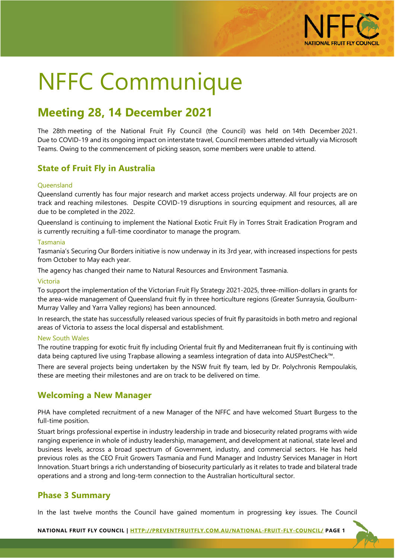

# NFFC Communique

# **Meeting 28, 14 December 2021**

The 28th meeting of the National Fruit Fly Council (the Council) was held on 14th December 2021. Due to COVID-19 and its ongoing impact on interstate travel, Council members attended virtually via Microsoft Teams. Owing to the commencement of picking season, some members were unable to attend.

# **State of Fruit Fly in Australia**

#### **Queensland**

Queensland currently has four major research and market access projects underway. All four projects are on track and reaching milestones. Despite COVID-19 disruptions in sourcing equipment and resources, all are due to be completed in the 2022.

Queensland is continuing to implement the National Exotic Fruit Fly in Torres Strait Eradication Program and is currently recruiting a full-time coordinator to manage the program.

#### Tasmania

Tasmania's Securing Our Borders initiative is now underway in its 3rd year, with increased inspections for pests from October to May each year.

The agency has changed their name to Natural Resources and Environment Tasmania.

#### Victoria

To support the implementation of the Victorian Fruit Fly Strategy 2021-2025, three-million-dollars in grants for the area-wide management of Queensland fruit fly in three horticulture regions (Greater Sunraysia, Goulburn-Murray Valley and Yarra Valley regions) has been announced.

In research, the state has successfully released various species of fruit fly parasitoids in both metro and regional areas of Victoria to assess the local dispersal and establishment.

#### New South Wales

The routine trapping for exotic fruit fly including Oriental fruit fly and Mediterranean fruit fly is continuing with data being captured live using Trapbase allowing a seamless integration of data into AUSPestCheck™.

There are several projects being undertaken by the NSW fruit fly team, led by Dr. Polychronis Rempoulakis, these are meeting their milestones and are on track to be delivered on time.

# **Welcoming a New Manager**

PHA have completed recruitment of a new Manager of the NFFC and have welcomed Stuart Burgess to the full-time position.

Stuart brings professional expertise in industry leadership in trade and biosecurity related programs with wide ranging experience in whole of industry leadership, management, and development at national, state level and business levels, across a broad spectrum of Government, industry, and commercial sectors. He has held previous roles as the CEO Fruit Growers Tasmania and Fund Manager and Industry Services Manager in Hort Innovation. Stuart brings a rich understanding of biosecurity particularly as it relates to trade and bilateral trade operations and a strong and long-term connection to the Australian horticultural sector.

# **Phase 3 Summary**

In the last twelve months the Council have gained momentum in progressing key issues. The Council